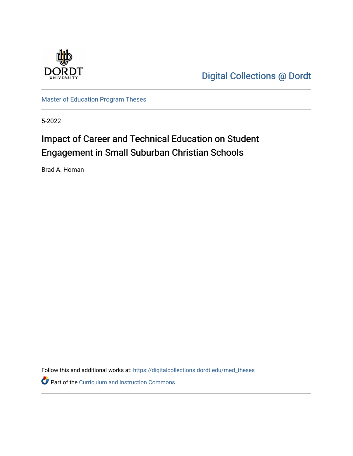

[Digital Collections @ Dordt](https://digitalcollections.dordt.edu/) 

[Master of Education Program Theses](https://digitalcollections.dordt.edu/med_theses) 

5-2022

# Impact of Career and Technical Education on Student Engagement in Small Suburban Christian Schools

Brad A. Homan

Follow this and additional works at: [https://digitalcollections.dordt.edu/med\\_theses](https://digitalcollections.dordt.edu/med_theses?utm_source=digitalcollections.dordt.edu%2Fmed_theses%2F162&utm_medium=PDF&utm_campaign=PDFCoverPages)

Part of the [Curriculum and Instruction Commons](http://network.bepress.com/hgg/discipline/786?utm_source=digitalcollections.dordt.edu%2Fmed_theses%2F162&utm_medium=PDF&utm_campaign=PDFCoverPages)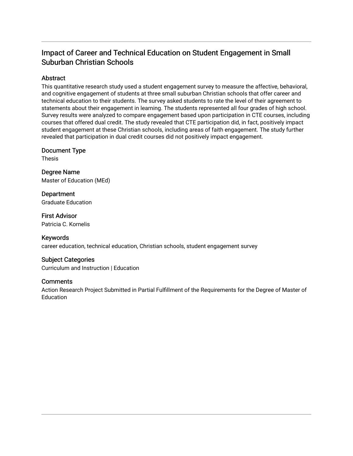# Impact of Career and Technical Education on Student Engagement in Small Suburban Christian Schools

## Abstract

This quantitative research study used a student engagement survey to measure the affective, behavioral, and cognitive engagement of students at three small suburban Christian schools that offer career and technical education to their students. The survey asked students to rate the level of their agreement to statements about their engagement in learning. The students represented all four grades of high school. Survey results were analyzed to compare engagement based upon participation in CTE courses, including courses that offered dual credit. The study revealed that CTE participation did, in fact, positively impact student engagement at these Christian schools, including areas of faith engagement. The study further revealed that participation in dual credit courses did not positively impact engagement.

Document Type

Thesis

Degree Name Master of Education (MEd)

Department Graduate Education

First Advisor Patricia C. Kornelis

## Keywords

career education, technical education, Christian schools, student engagement survey

## Subject Categories

Curriculum and Instruction | Education

## **Comments**

Action Research Project Submitted in Partial Fulfillment of the Requirements for the Degree of Master of **Education**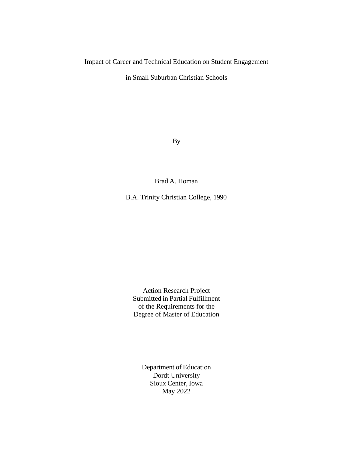## Impact of Career and Technical Education on Student Engagement

in Small Suburban Christian Schools

By

Brad A. Homan

B.A. Trinity Christian College, 1990

Action Research Project Submitted in Partial Fulfillment of the Requirements for the Degree of Master of Education

Department of Education Dordt University Sioux Center, Iowa May 2022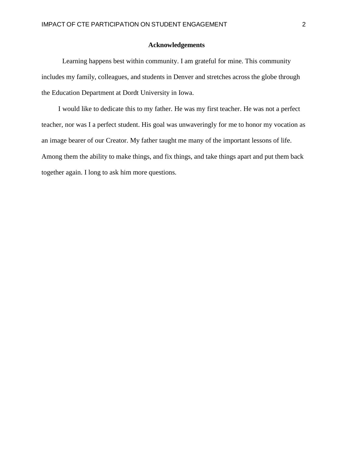## **Acknowledgements**

<span id="page-3-0"></span>Learning happens best within community. I am grateful for mine. This community includes my family, colleagues, and students in Denver and stretches across the globe through the Education Department at Dordt University in Iowa.

I would like to dedicate this to my father. He was my first teacher. He was not a perfect teacher, nor was I a perfect student. His goal was unwaveringly for me to honor my vocation as an image bearer of our Creator. My father taught me many of the important lessons of life. Among them the ability to make things, and fix things, and take things apart and put them back together again. I long to ask him more questions.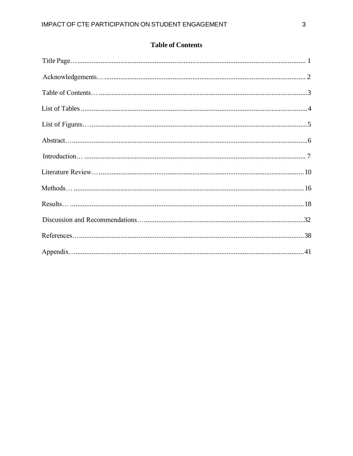| <b>Table of Contents</b> |  |
|--------------------------|--|
|--------------------------|--|

<span id="page-4-0"></span>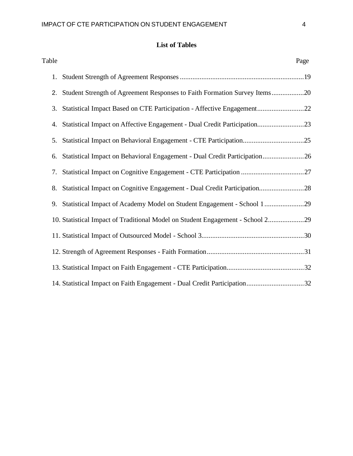# **List of Tables**

<span id="page-5-0"></span>

| Table |                                                                                | Page |
|-------|--------------------------------------------------------------------------------|------|
|       |                                                                                |      |
|       | 2. Student Strength of Agreement Responses to Faith Formation Survey Items20   |      |
| 3.    | Statistical Impact Based on CTE Participation - Affective Engagement22         |      |
|       | 4. Statistical Impact on Affective Engagement - Dual Credit Participation23    |      |
| 5.    |                                                                                |      |
| 6.    | Statistical Impact on Behavioral Engagement - Dual Credit Participation26      |      |
| 7.    |                                                                                |      |
| 8.    | Statistical Impact on Cognitive Engagement - Dual Credit Participation28       |      |
| 9.    | Statistical Impact of Academy Model on Student Engagement - School 129         |      |
|       | 10. Statistical Impact of Traditional Model on Student Engagement - School 229 |      |
|       |                                                                                |      |
|       |                                                                                |      |
|       |                                                                                |      |
|       | 14. Statistical Impact on Faith Engagement - Dual Credit Participation32       |      |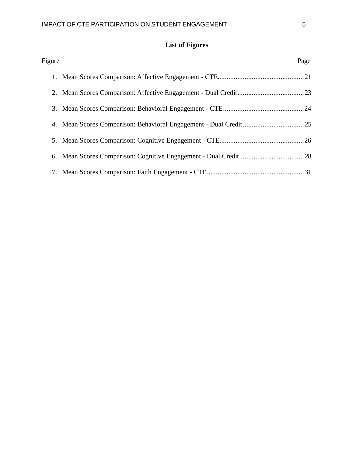# **List of Figures**

<span id="page-6-0"></span>

| Figure | Page |
|--------|------|
|        |      |
|        |      |
|        |      |
|        |      |
|        |      |
|        |      |
|        |      |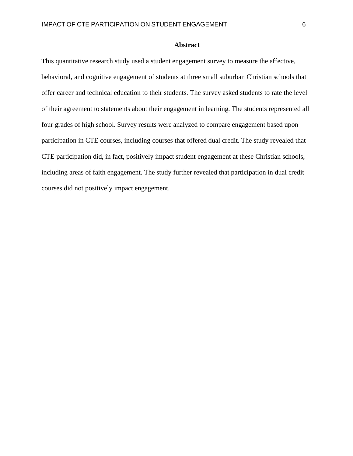#### **Abstract**

<span id="page-7-0"></span>This quantitative research study used a student engagement survey to measure the affective, behavioral, and cognitive engagement of students at three small suburban Christian schools that offer career and technical education to their students. The survey asked students to rate the level of their agreement to statements about their engagement in learning. The students represented all four grades of high school. Survey results were analyzed to compare engagement based upon participation in CTE courses, including courses that offered dual credit. The study revealed that CTE participation did, in fact, positively impact student engagement at these Christian schools, including areas of faith engagement. The study further revealed that participation in dual credit courses did not positively impact engagement.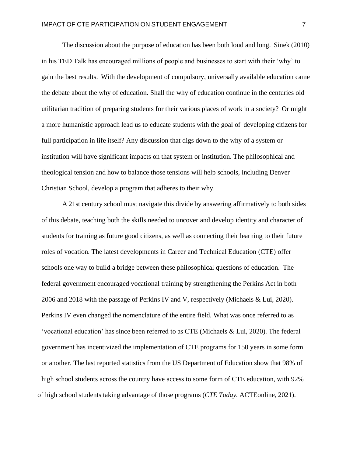The discussion about the purpose of education has been both loud and long. Sinek (2010) in his TED Talk has encouraged millions of people and businesses to start with their 'why' to gain the best results. With the development of compulsory, universally available education came the debate about the why of education. Shall the why of education continue in the centuries old utilitarian tradition of preparing students for their various places of work in a society? Or might a more humanistic approach lead us to educate students with the goal of developing citizens for full participation in life itself? Any discussion that digs down to the why of a system or institution will have significant impacts on that system or institution. The philosophical and theological tension and how to balance those tensions will help schools, including Denver Christian School, develop a program that adheres to their why.

A 21st century school must navigate this divide by answering affirmatively to both sides of this debate, teaching both the skills needed to uncover and develop identity and character of students for training as future good citizens, as well as connecting their learning to their future roles of vocation. The latest developments in Career and Technical Education (CTE) offer schools one way to build a bridge between these philosophical questions of education. The federal government encouraged vocational training by strengthening the Perkins Act in both 2006 and 2018 with the passage of Perkins IV and V, respectively (Michaels & Lui, 2020). Perkins IV even changed the nomenclature of the entire field. What was once referred to as 'vocational education' has since been referred to as CTE (Michaels & Lui, 2020). The federal government has incentivized the implementation of CTE programs for 150 years in some form or another. The last reported statistics from the US Department of Education show that 98% of high school students across the country have access to some form of CTE education, with 92% of high school students taking advantage of those programs (*CTE Today.* ACTEonline, 2021).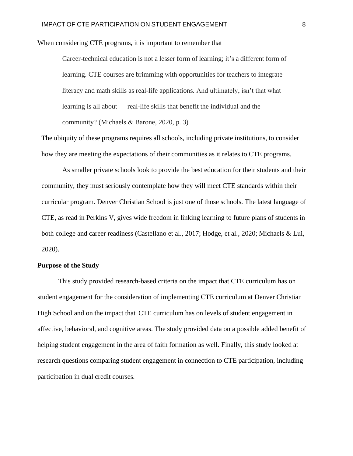When considering CTE programs, it is important to remember that

Career-technical education is not a lesser form of learning; it's a different form of learning. CTE courses are brimming with opportunities for teachers to integrate literacy and math skills as real-life applications. And ultimately, isn't that what learning is all about — real-life skills that benefit the individual and the community? (Michaels & Barone, 2020, p. 3)

The ubiquity of these programs requires all schools, including private institutions, to consider how they are meeting the expectations of their communities as it relates to CTE programs.

As smaller private schools look to provide the best education for their students and their community, they must seriously contemplate how they will meet CTE standards within their curricular program. Denver Christian School is just one of those schools. The latest language of CTE, as read in Perkins V, gives wide freedom in linking learning to future plans of students in both college and career readiness (Castellano et al., 2017; Hodge, et al., 2020; Michaels & Lui, 2020).

## **Purpose of the Study**

This study provided research-based criteria on the impact that CTE curriculum has on student engagement for the consideration of implementing CTE curriculum at Denver Christian High School and on the impact that CTE curriculum has on levels of student engagement in affective, behavioral, and cognitive areas. The study provided data on a possible added benefit of helping student engagement in the area of faith formation as well. Finally, this study looked at research questions comparing student engagement in connection to CTE participation, including participation in dual credit courses.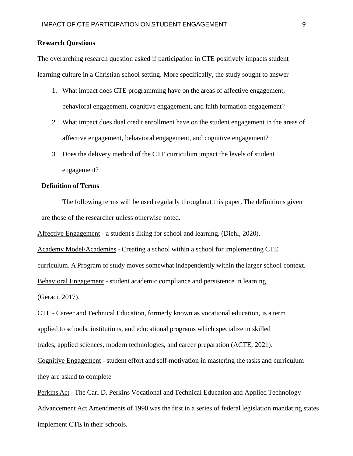#### **Research Questions**

The overarching research question asked if participation in CTE positively impacts student learning culture in a Christian school setting. More specifically, the study sought to answer

- 1. What impact does CTE programming have on the areas of affective engagement, behavioral engagement, cognitive engagement, and faith formation engagement?
- 2. What impact does dual credit enrollment have on the student engagement in the areas of affective engagement, behavioral engagement, and cognitive engagement?
- 3. Does the delivery method of the CTE curriculum impact the levels of student engagement?

#### **Definition of Terms**

The following terms will be used regularly throughout this paper. The definitions given are those of the researcher unless otherwise noted.

Affective Engagement - a student's liking for school and learning. (Diehl, 2020).

Academy Model/Academies - Creating a school within a school for implementing CTE curriculum. A Program of study moves somewhat independently within the larger school context. Behavioral Engagement - student academic compliance and persistence in learning (Geraci, 2017).

CTE - Career and Technical Education, formerly known as vocational education, is a term applied to schools, institutions, and educational programs which specialize in skilled trades, applied sciences, modern technologies, and career preparation (ACTE, 2021).

Cognitive Engagement - student effort and self-motivation in mastering the tasks and curriculum they are asked to complete

Perkins Act - The Carl D. Perkins Vocational and Technical Education and Applied Technology Advancement Act Amendments of 1990 was the first in a series of federal legislation mandating states implement CTE in their schools.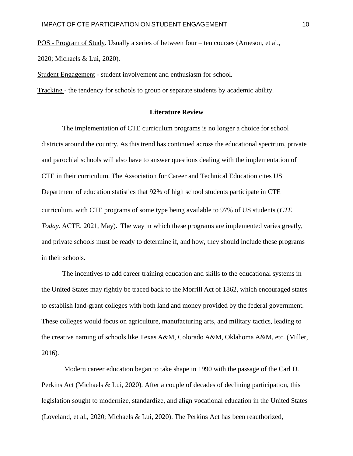POS - Program of Study. Usually a series of between four – ten courses (Arneson, et al.,

2020; Michaels & Lui, 2020).

Student Engagement - student involvement and enthusiasm for school.

<span id="page-11-0"></span>Tracking - the tendency for schools to group or separate students by academic ability.

#### **Literature Review**

The implementation of CTE curriculum programs is no longer a choice for school districts around the country. As this trend has continued across the educational spectrum, private and parochial schools will also have to answer questions dealing with the implementation of CTE in their curriculum. The Association for Career and Technical Education cites US Department of education statistics that 92% of high school students participate in CTE curriculum, with CTE programs of some type being available to 97% of US students (*CTE Today*. ACTE. 2021, May). The way in which these programs are implemented varies greatly, and private schools must be ready to determine if, and how, they should include these programs in their schools.

The incentives to add career training education and skills to the educational systems in the United States may rightly be traced back to the Morrill Act of 1862, which encouraged states to establish land-grant colleges with both land and money provided by the federal government. These colleges would focus on agriculture, manufacturing arts, and military tactics, leading to the creative naming of schools like Texas A&M, Colorado A&M, Oklahoma A&M, etc. (Miller, 2016).

Modern career education began to take shape in 1990 with the passage of the Carl D. Perkins Act (Michaels & Lui, 2020). After a couple of decades of declining participation, this legislation sought to modernize, standardize, and align vocational education in the United States (Loveland, et al., 2020; Michaels & Lui, 2020). The Perkins Act has been reauthorized,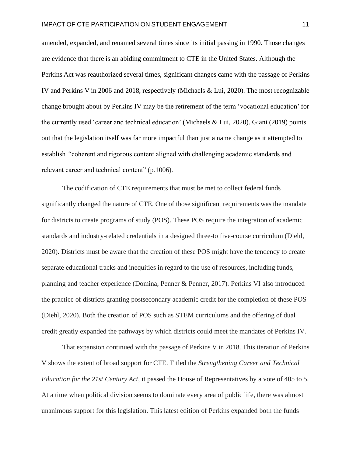amended, expanded, and renamed several times since its initial passing in 1990. Those changes are evidence that there is an abiding commitment to CTE in the United States. Although the Perkins Act was reauthorized several times, significant changes came with the passage of Perkins IV and Perkins V in 2006 and 2018, respectively (Michaels & Lui, 2020). The most recognizable change brought about by Perkins IV may be the retirement of the term 'vocational education' for the currently used 'career and technical education' (Michaels & Lui, 2020). Giani (2019) points out that the legislation itself was far more impactful than just a name change as it attempted to establish "coherent and rigorous content aligned with challenging academic standards and relevant career and technical content" (p.1006).

The codification of CTE requirements that must be met to collect federal funds significantly changed the nature of CTE. One of those significant requirements was the mandate for districts to create programs of study (POS). These POS require the integration of academic standards and industry-related credentials in a designed three-to five-course curriculum (Diehl, 2020). Districts must be aware that the creation of these POS might have the tendency to create separate educational tracks and inequities in regard to the use of resources, including funds, planning and teacher experience (Domina, Penner & Penner, 2017). Perkins VI also introduced the practice of districts granting postsecondary academic credit for the completion of these POS (Diehl, 2020). Both the creation of POS such as STEM curriculums and the offering of dual credit greatly expanded the pathways by which districts could meet the mandates of Perkins IV.

That expansion continued with the passage of Perkins V in 2018. This iteration of Perkins V shows the extent of broad support for CTE. Titled the *Strengthening Career and Technical Education for the 21st Century Act,* it passed the House of Representatives by a vote of 405 to 5. At a time when political division seems to dominate every area of public life, there was almost unanimous support for this legislation. This latest edition of Perkins expanded both the funds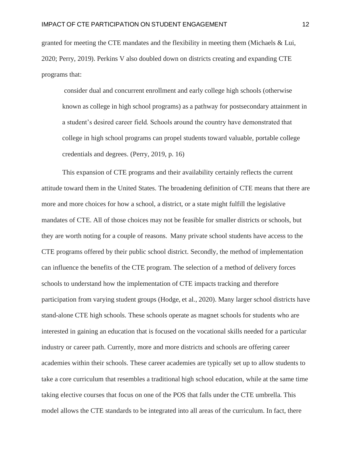granted for meeting the CTE mandates and the flexibility in meeting them (Michaels & Lui, 2020; Perry, 2019). Perkins V also doubled down on districts creating and expanding CTE programs that:

consider dual and concurrent enrollment and early college high schools (otherwise known as college in high school programs) as a pathway for postsecondary attainment in a student's desired career field. Schools around the country have demonstrated that college in high school programs can propel students toward valuable, portable college credentials and degrees. (Perry, 2019, p. 16)

This expansion of CTE programs and their availability certainly reflects the current attitude toward them in the United States. The broadening definition of CTE means that there are more and more choices for how a school, a district, or a state might fulfill the legislative mandates of CTE. All of those choices may not be feasible for smaller districts or schools, but they are worth noting for a couple of reasons. Many private school students have access to the CTE programs offered by their public school district. Secondly, the method of implementation can influence the benefits of the CTE program. The selection of a method of delivery forces schools to understand how the implementation of CTE impacts tracking and therefore participation from varying student groups (Hodge, et al., 2020). Many larger school districts have stand-alone CTE high schools. These schools operate as magnet schools for students who are interested in gaining an education that is focused on the vocational skills needed for a particular industry or career path. Currently, more and more districts and schools are offering career academies within their schools. These career academies are typically set up to allow students to take a core curriculum that resembles a traditional high school education, while at the same time taking elective courses that focus on one of the POS that falls under the CTE umbrella. This model allows the CTE standards to be integrated into all areas of the curriculum. In fact, there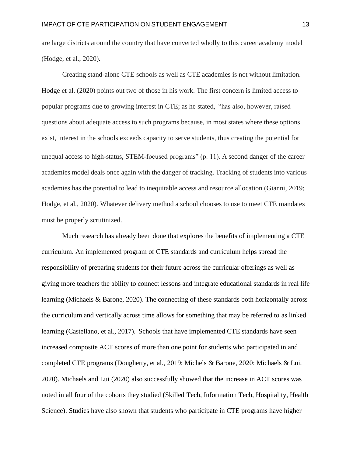are large districts around the country that have converted wholly to this career academy model (Hodge, et al., 2020).

Creating stand-alone CTE schools as well as CTE academies is not without limitation. Hodge et al. (2020) points out two of those in his work. The first concern is limited access to popular programs due to growing interest in CTE; as he stated, "has also, however, raised questions about adequate access to such programs because, in most states where these options exist, interest in the schools exceeds capacity to serve students, thus creating the potential for unequal access to high-status, STEM-focused programs" (p. 11). A second danger of the career academies model deals once again with the danger of tracking. Tracking of students into various academies has the potential to lead to inequitable access and resource allocation (Gianni, 2019; Hodge, et al., 2020). Whatever delivery method a school chooses to use to meet CTE mandates must be properly scrutinized.

Much research has already been done that explores the benefits of implementing a CTE curriculum. An implemented program of CTE standards and curriculum helps spread the responsibility of preparing students for their future across the curricular offerings as well as giving more teachers the ability to connect lessons and integrate educational standards in real life learning (Michaels & Barone, 2020). The connecting of these standards both horizontally across the curriculum and vertically across time allows for something that may be referred to as linked learning (Castellano, et al., 2017). Schools that have implemented CTE standards have seen increased composite ACT scores of more than one point for students who participated in and completed CTE programs (Dougherty, et al., 2019; Michels & Barone, 2020; Michaels & Lui, 2020). Michaels and Lui (2020) also successfully showed that the increase in ACT scores was noted in all four of the cohorts they studied (Skilled Tech, Information Tech, Hospitality, Health Science). Studies have also shown that students who participate in CTE programs have higher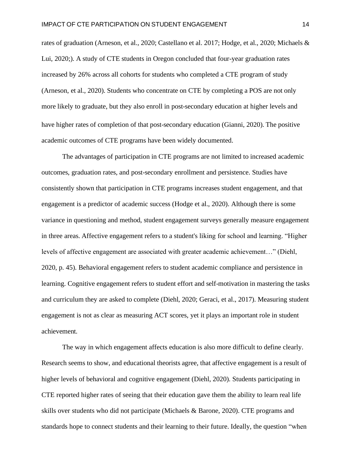rates of graduation (Arneson, et al., 2020; Castellano et al. 2017; Hodge, et al., 2020; Michaels & Lui, 2020;). A study of CTE students in Oregon concluded that four-year graduation rates increased by 26% across all cohorts for students who completed a CTE program of study (Arneson, et al., 2020). Students who concentrate on CTE by completing a POS are not only more likely to graduate, but they also enroll in post-secondary education at higher levels and have higher rates of completion of that post-secondary education (Gianni, 2020). The positive academic outcomes of CTE programs have been widely documented.

The advantages of participation in CTE programs are not limited to increased academic outcomes, graduation rates, and post-secondary enrollment and persistence. Studies have consistently shown that participation in CTE programs increases student engagement, and that engagement is a predictor of academic success (Hodge et al., 2020). Although there is some variance in questioning and method, student engagement surveys generally measure engagement in three areas. Affective engagement refers to a student's liking for school and learning. "Higher levels of affective engagement are associated with greater academic achievement…" (Diehl, 2020, p. 45). Behavioral engagement refers to student academic compliance and persistence in learning. Cognitive engagement refers to student effort and self-motivation in mastering the tasks and curriculum they are asked to complete (Diehl, 2020; Geraci, et al., 2017). Measuring student engagement is not as clear as measuring ACT scores, yet it plays an important role in student achievement.

The way in which engagement affects education is also more difficult to define clearly. Research seems to show, and educational theorists agree, that affective engagement is a result of higher levels of behavioral and cognitive engagement (Diehl, 2020). Students participating in CTE reported higher rates of seeing that their education gave them the ability to learn real life skills over students who did not participate (Michaels & Barone, 2020). CTE programs and standards hope to connect students and their learning to their future. Ideally, the question "when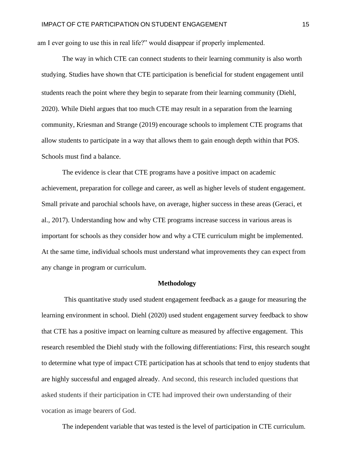am I ever going to use this in real life?" would disappear if properly implemented.

The way in which CTE can connect students to their learning community is also worth studying. Studies have shown that CTE participation is beneficial for student engagement until students reach the point where they begin to separate from their learning community (Diehl, 2020). While Diehl argues that too much CTE may result in a separation from the learning community, Kriesman and Strange (2019) encourage schools to implement CTE programs that allow students to participate in a way that allows them to gain enough depth within that POS. Schools must find a balance.

The evidence is clear that CTE programs have a positive impact on academic achievement, preparation for college and career, as well as higher levels of student engagement. Small private and parochial schools have, on average, higher success in these areas (Geraci, et al., 2017). Understanding how and why CTE programs increase success in various areas is important for schools as they consider how and why a CTE curriculum might be implemented. At the same time, individual schools must understand what improvements they can expect from any change in program or curriculum.

#### **Methodology**

This quantitative study used student engagement feedback as a gauge for measuring the learning environment in school. Diehl (2020) used student engagement survey feedback to show that CTE has a positive impact on learning culture as measured by affective engagement. This research resembled the Diehl study with the following differentiations: First, this research sought to determine what type of impact CTE participation has at schools that tend to enjoy students that are highly successful and engaged already. And second, this research included questions that asked students if their participation in CTE had improved their own understanding of their vocation as image bearers of God.

The independent variable that was tested is the level of participation in CTE curriculum.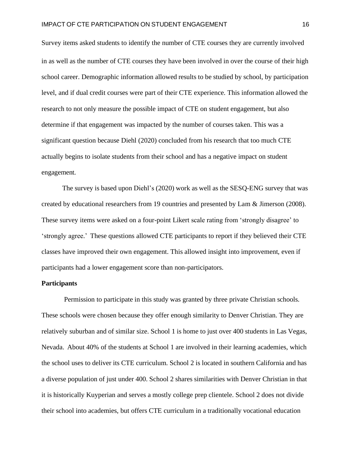Survey items asked students to identify the number of CTE courses they are currently involved in as well as the number of CTE courses they have been involved in over the course of their high school career. Demographic information allowed results to be studied by school, by participation level, and if dual credit courses were part of their CTE experience. This information allowed the research to not only measure the possible impact of CTE on student engagement, but also determine if that engagement was impacted by the number of courses taken. This was a significant question because Diehl (2020) concluded from his research that too much CTE actually begins to isolate students from their school and has a negative impact on student engagement.

The survey is based upon Diehl's (2020) work as well as the SESQ-ENG survey that was created by educational researchers from 19 countries and presented by Lam & Jimerson (2008)*.*  These survey items were asked on a four-point Likert scale rating from 'strongly disagree' to 'strongly agree.' These questions allowed CTE participants to report if they believed their CTE classes have improved their own engagement. This allowed insight into improvement, even if participants had a lower engagement score than non-participators.

#### **Participants**

Permission to participate in this study was granted by three private Christian schools. These schools were chosen because they offer enough similarity to Denver Christian. They are relatively suburban and of similar size. School 1 is home to just over 400 students in Las Vegas, Nevada. About 40% of the students at School 1 are involved in their learning academies, which the school uses to deliver its CTE curriculum. School 2 is located in southern California and has a diverse population of just under 400. School 2 shares similarities with Denver Christian in that it is historically Kuyperian and serves a mostly college prep clientele. School 2 does not divide their school into academies, but offers CTE curriculum in a traditionally vocational education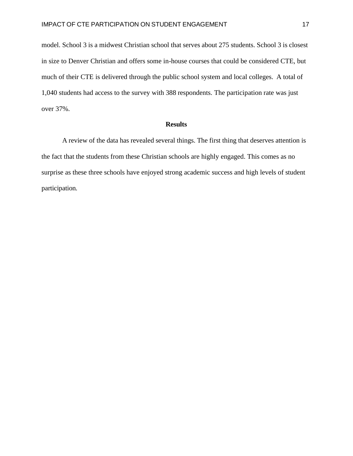model. School 3 is a midwest Christian school that serves about 275 students. School 3 is closest in size to Denver Christian and offers some in-house courses that could be considered CTE, but much of their CTE is delivered through the public school system and local colleges. A total of 1,040 students had access to the survey with 388 respondents. The participation rate was just over 37%.

#### **Results**

<span id="page-18-0"></span>A review of the data has revealed several things. The first thing that deserves attention is the fact that the students from these Christian schools are highly engaged. This comes as no surprise as these three schools have enjoyed strong academic success and high levels of student participation.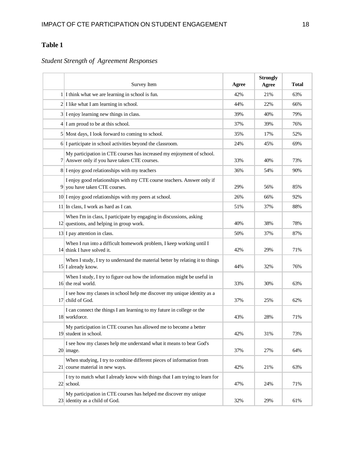# **Table 1**

# *Student Strength of Agreement Responses*

| Survey Item                                                                                                           | Agree | <b>Strongly</b><br>Agree | <b>Total</b> |
|-----------------------------------------------------------------------------------------------------------------------|-------|--------------------------|--------------|
| 1 I think what we are learning in school is fun.                                                                      | 42%   | 21%                      | 63%          |
| $2 I $ like what I am learning in school.                                                                             | 44%   | 22%                      | 66%          |
| $3$ I enjoy learning new things in class.                                                                             | 39%   | 40%                      | 79%          |
| $4 I$ am proud to be at this school.                                                                                  | 37%   | 39%                      | 76%          |
| 5 Most days, I look forward to coming to school.                                                                      | 35%   | 17%                      | 52%          |
| 6 I participate in school activities beyond the classroom.                                                            | 24%   | 45%                      | 69%          |
| My participation in CTE courses has increased my enjoyment of school.<br>7 Answer only if you have taken CTE courses. | 33%   | 40%                      | 73%          |
| 8 I enjoy good relationships with my teachers                                                                         | 36%   | 54%                      | 90%          |
| I enjoy good relationships with my CTE course teachers. Answer only if<br>9 you have taken CTE courses.               | 29%   | 56%                      | 85%          |
| 10 I enjoy good relationships with my peers at school.                                                                | 26%   | 66%                      | 92%          |
| 11 In class, I work as hard as I can.                                                                                 | 51%   | 37%                      | 88%          |
| When I'm in class, I participate by engaging in discussions, asking<br>$12$ questions, and helping in group work.     | 40%   | 38%                      | 78%          |
| $13$ I pay attention in class.                                                                                        | 50%   | 37%                      | 87%          |
| When I run into a difficult homework problem, I keep working until I<br>14 think I have solved it.                    | 42%   | 29%                      | 71%          |
| When I study, I try to understand the material better by relating it to things<br>15 I already know.                  | 44%   | 32%                      | 76%          |
| When I study, I try to figure out how the information might be useful in<br>16 the real world.                        | 33%   | 30%                      | 63%          |
| I see how my classes in school help me discover my unique identity as a<br>17 child of God.                           | 37%   | 25%                      | 62%          |
| I can connect the things I am learning to my future in college or the<br>18 workforce.                                | 43%   | 28%                      | 71%          |
| My participation in CTE courses has allowed me to become a better<br>19 student in school.                            | 42%   | 31%                      | 73%          |
| I see how my classes help me understand what it means to bear God's<br>20 image.                                      | 37%   | 27%                      | 64%          |
| When studying, I try to combine different pieces of information from<br>21 course material in new ways.               | 42%   | 21%                      | 63%          |
| I try to match what I already know with things that I am trying to learn for<br>22 school.                            | 47%   | 24%                      | 71%          |
| My participation in CTE courses has helped me discover my unique<br>23 identity as a child of God.                    | 32%   | 29%                      | 61%          |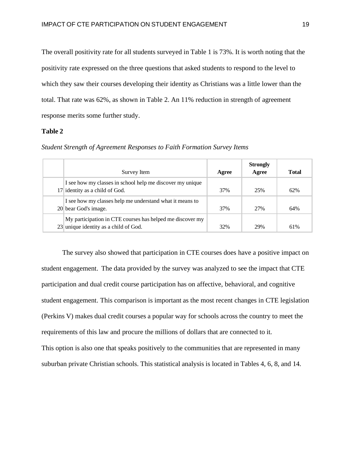The overall positivity rate for all students surveyed in Table 1 is 73%. It is worth noting that the positivity rate expressed on the three questions that asked students to respond to the level to which they saw their courses developing their identity as Christians was a little lower than the total. That rate was 62%, as shown in Table 2. An 11% reduction in strength of agreement response merits some further study.

#### **Table 2**

| Survey Item                                                                                        | Agree | <b>Strongly</b><br>Agree | <b>Total</b> |
|----------------------------------------------------------------------------------------------------|-------|--------------------------|--------------|
| I see how my classes in school help me discover my unique<br>17 identity as a child of God.        | 37%   | 25%                      | 62%          |
| I see how my classes help me understand what it means to<br>20 bear God's image.                   | 37%   | 27%                      | 64%          |
| My participation in CTE courses has helped me discover my<br>23 unique identity as a child of God. | 32%   | 29%                      | 61%          |

*Student Strength of Agreement Responses to Faith Formation Survey Items*

The survey also showed that participation in CTE courses does have a positive impact on student engagement. The data provided by the survey was analyzed to see the impact that CTE participation and dual credit course participation has on affective, behavioral, and cognitive student engagement. This comparison is important as the most recent changes in CTE legislation (Perkins V) makes dual credit courses a popular way for schools across the country to meet the requirements of this law and procure the millions of dollars that are connected to it. This option is also one that speaks positively to the communities that are represented in many suburban private Christian schools. This statistical analysis is located in Tables 4, 6, 8, and 14.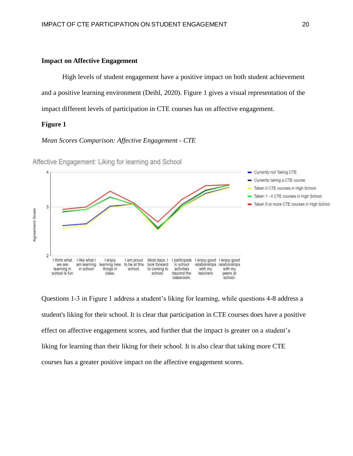#### **Impact on Affective Engagement**

High levels of student engagement have a positive impact on both student achievement and a positive learning environment (Deihl, 2020). Figure 1 gives a visual representation of the impact different levels of participation in CTE courses has on affective engagement.

#### **Figure 1**

#### *Mean Scores Comparison: Affective Engagement - CTE*



Affective Engagement: Liking for learning and School

Questions 1-3 in Figure 1 address a student's liking for learning, while questions 4-8 address a student's liking for their school. It is clear that participation in CTE courses does have a positive effect on affective engagement scores, and further that the impact is greater on a student's liking for learning than their liking for their school. It is also clear that taking more CTE courses has a greater positive impact on the affective engagement scores.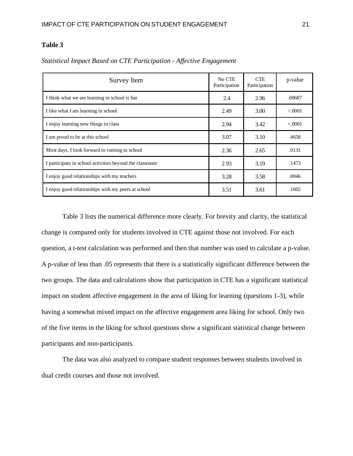## **Table 3**

| Survey Item                                             | No CTE<br>Participation | <b>CTE</b><br>Participation | p-value  |
|---------------------------------------------------------|-------------------------|-----------------------------|----------|
| I think what we are learning in school is fun           | 2.4                     | 2.96                        | .00687   |
| I like what I am learning in school                     | 2.49                    | 3.00                        | < 0.0001 |
| I enjoy learning new things in class                    | 2.94                    | 3.42                        | < 0.0001 |
| I am proud to be at this school                         | 3.07                    | 3.10                        | .4658    |
| Most days, I look forward to coming to school           | 2.36                    | 2.65                        | .0131    |
| I participate in school activities beyond the classroom | 2.93                    | 3.19                        | .1473    |
| I enjoy good relationships with my teachers             | 3.28                    | 3.58                        | .0046    |
| I enjoy good relationships with my peers at school      | 3.51                    | 3.61                        | .1602    |

*Statistical Impact Based on CTE Participation - Affective Engagement*

Table 3 lists the numerical difference more clearly. For brevity and clarity, the statistical change is compared only for students involved in CTE against those not involved. For each question, a t-test calculation was performed and then that number was used to calculate a p-value. A p-value of less than .05 represents that there is a statistically significant difference between the two groups. The data and calculations show that participation in CTE has a significant statistical impact on student affective engagement in the area of liking for learning (questions 1-3), while having a somewhat mixed impact on the affective engagement area liking for school. Only two of the five items in the liking for school questions show a significant statistical change between participants and non-participants.

The data was also analyzed to compare student responses between students involved in dual credit courses and those not involved.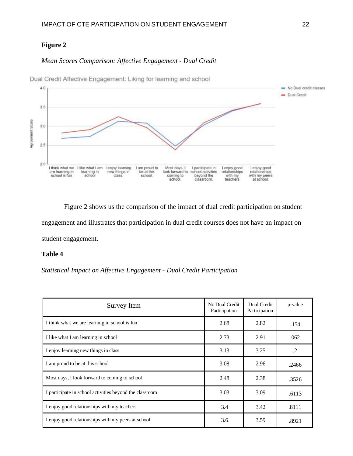## **Figure 2**

## *Mean Scores Comparison: Affective Engagement - Dual Credit*



Dual Credit Affective Engagement: Liking for learning and school

Figure 2 shows us the comparison of the impact of dual credit participation on student engagement and illustrates that participation in dual credit courses does not have an impact on student engagement.

## **Table 4**

*Statistical Impact on Affective Engagement - Dual Credit Participation*

| Survey Item                                             | No Dual Credit<br>Participation | Dual Credit<br>Participation | p-value |
|---------------------------------------------------------|---------------------------------|------------------------------|---------|
| I think what we are learning in school is fun           | 2.68                            | 2.82                         | .154    |
| I like what I am learning in school                     | 2.73                            | 2.91                         | .062    |
| I enjoy learning new things in class                    | 3.13                            | 3.25                         | $\cdot$ |
| I am proud to be at this school                         | 3.08                            | 2.96                         | .2466   |
| Most days, I look forward to coming to school           | 2.48                            | 2.38                         | .3526   |
| I participate in school activities beyond the classroom | 3.03                            | 3.09                         | .6113   |
| I enjoy good relationships with my teachers             | 3.4                             | 3.42                         | .8111   |
| I enjoy good relationships with my peers at school      | 3.6                             | 3.59                         | .8921   |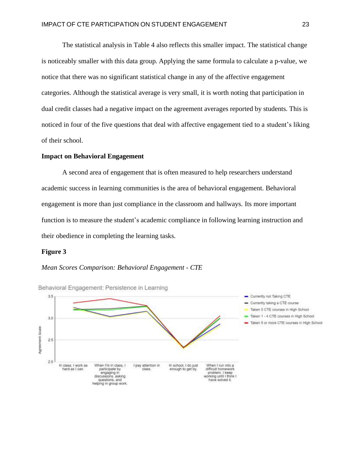The statistical analysis in Table 4 also reflects this smaller impact. The statistical change is noticeably smaller with this data group. Applying the same formula to calculate a p-value, we notice that there was no significant statistical change in any of the affective engagement categories. Although the statistical average is very small, it is worth noting that participation in dual credit classes had a negative impact on the agreement averages reported by students. This is noticed in four of the five questions that deal with affective engagement tied to a student's liking of their school.

#### **Impact on Behavioral Engagement**

A second area of engagement that is often measured to help researchers understand academic success in learning communities is the area of behavioral engagement. Behavioral engagement is more than just compliance in the classroom and hallways. Its more important function is to measure the student's academic compliance in following learning instruction and their obedience in completing the learning tasks.

#### **Figure 3**



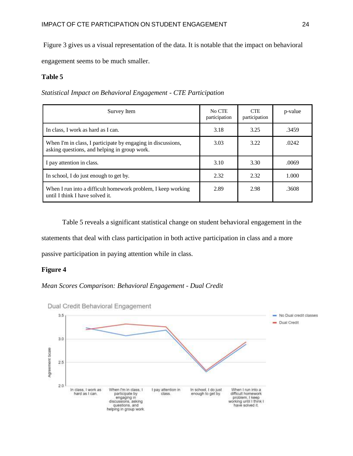Figure 3 gives us a visual representation of the data. It is notable that the impact on behavioral

engagement seems to be much smaller.

## **Table 5**

*Statistical Impact on Behavioral Engagement - CTE Participation*

| Survey Item                                                                                                  | No CTE<br>participation | <b>CTE</b><br>participation | p-value |
|--------------------------------------------------------------------------------------------------------------|-------------------------|-----------------------------|---------|
| In class, I work as hard as I can.                                                                           | 3.18                    | 3.25                        | .3459   |
| When I'm in class, I participate by engaging in discussions,<br>asking questions, and helping in group work. | 3.03                    | 3.22                        | .0242   |
| I pay attention in class.                                                                                    | 3.10                    | 3.30                        | .0069   |
| In school, I do just enough to get by.                                                                       | 2.32                    | 2.32                        | 1.000   |
| When I run into a difficult homework problem, I keep working<br>until I think I have solved it.              | 2.89                    | 2.98                        | .3608   |

Table 5 reveals a significant statistical change on student behavioral engagement in the

statements that deal with class participation in both active participation in class and a more

passive participation in paying attention while in class.

## **Figure 4**

## *Mean Scores Comparison: Behavioral Engagement - Dual Credit*



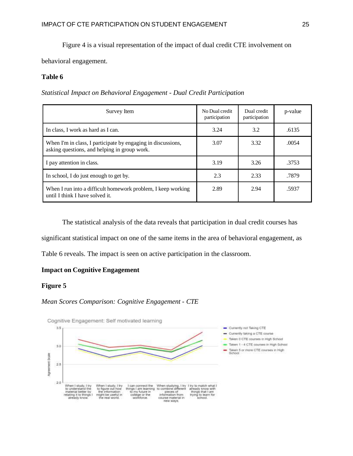Figure 4 is a visual representation of the impact of dual credit CTE involvement on

behavioral engagement.

## **Table 6**

*Statistical Impact on Behavioral Engagement - Dual Credit Participation*

| Survey Item                                                                                                  | No Dual credit<br>participation | Dual credit<br>participation | p-value |
|--------------------------------------------------------------------------------------------------------------|---------------------------------|------------------------------|---------|
| In class, I work as hard as I can.                                                                           | 3.24                            | 3.2                          | .6135   |
| When I'm in class, I participate by engaging in discussions,<br>asking questions, and helping in group work. | 3.07                            | 3.32                         | .0054   |
| I pay attention in class.                                                                                    | 3.19                            | 3.26                         | .3753   |
| In school, I do just enough to get by.                                                                       | 2.3                             | 2.33                         | .7879   |
| When I run into a difficult homework problem, I keep working<br>until I think I have solved it.              | 2.89                            | 2.94                         | .5937   |

The statistical analysis of the data reveals that participation in dual credit courses has

significant statistical impact on one of the same items in the area of behavioral engagement, as

Table 6 reveals. The impact is seen on active participation in the classroom.

## **Impact on Cognitive Engagement**

## **Figure 5**

## *Mean Scores Comparison: Cognitive Engagement - CTE*

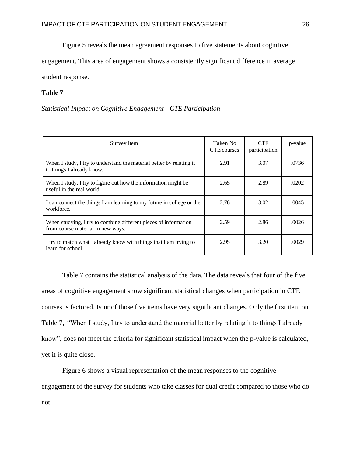Figure 5 reveals the mean agreement responses to five statements about cognitive

engagement. This area of engagement shows a consistently significant difference in average

student response.

## **Table 7**

*Statistical Impact on Cognitive Engagement - CTE Participation*

| Survey Item                                                                                          | Taken No<br>CTE courses | <b>CTE</b><br>participation | p-value |
|------------------------------------------------------------------------------------------------------|-------------------------|-----------------------------|---------|
| When I study, I try to understand the material better by relating it<br>to things I already know.    | 2.91                    | 3.07                        | .0736   |
| When I study, I try to figure out how the information might be<br>useful in the real world           | 2.65                    | 2.89                        | .0202   |
| I can connect the things I am learning to my future in college or the<br>workforce.                  | 2.76                    | 3.02                        | .0045   |
| When studying, I try to combine different pieces of information<br>from course material in new ways. | 2.59                    | 2.86                        | .0026   |
| I try to match what I already know with things that I am trying to<br>learn for school.              | 2.95                    | 3.20                        | .0029   |

Table 7 contains the statistical analysis of the data. The data reveals that four of the five areas of cognitive engagement show significant statistical changes when participation in CTE courses is factored. Four of those five items have very significant changes. Only the first item on Table 7, "When I study, I try to understand the material better by relating it to things I already know", does not meet the criteria for significant statistical impact when the p-value is calculated, yet it is quite close.

Figure 6 shows a visual representation of the mean responses to the cognitive engagement of the survey for students who take classes for dual credit compared to those who do not.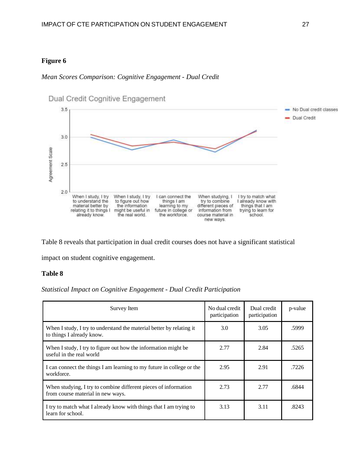## **Figure 6**

## *Mean Scores Comparison: Cognitive Engagement - Dual Credit*



Table 8 reveals that participation in dual credit courses does not have a significant statistical

impact on student cognitive engagement.

## **Table 8**

#### *Statistical Impact on Cognitive Engagement - Dual Credit Participation*

| Survey Item                                                                                          | No dual credit<br>participation | Dual credit<br>participation | p-value |
|------------------------------------------------------------------------------------------------------|---------------------------------|------------------------------|---------|
| When I study, I try to understand the material better by relating it<br>to things I already know.    | 3.0                             | 3.05                         | .5999   |
| When I study, I try to figure out how the information might be<br>useful in the real world           | 2.77                            | 2.84                         | .5265   |
| I can connect the things I am learning to my future in college or the<br>workforce.                  | 2.95                            | 2.91                         | .7226   |
| When studying, I try to combine different pieces of information<br>from course material in new ways. | 2.73                            | 2.77                         | .6844   |
| I try to match what I already know with things that I am trying to<br>learn for school.              | 3.13                            | 3.11                         | .8243   |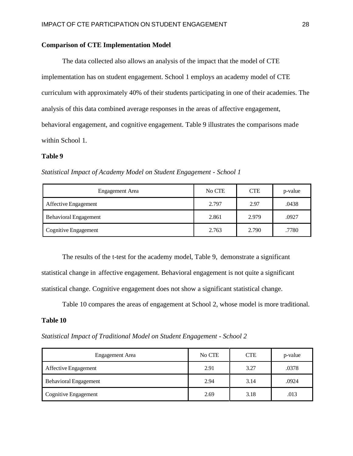## **Comparison of CTE Implementation Model**

The data collected also allows an analysis of the impact that the model of CTE implementation has on student engagement. School 1 employs an academy model of CTE curriculum with approximately 40% of their students participating in one of their academies. The analysis of this data combined average responses in the areas of affective engagement, behavioral engagement, and cognitive engagement. Table 9 illustrates the comparisons made within School 1.

#### **Table 9**

*Statistical Impact of Academy Model on Student Engagement - School 1*

| Engagement Area              | No CTE | <b>CTE</b> | p-value |
|------------------------------|--------|------------|---------|
| Affective Engagement         | 2.797  | 2.97       | .0438   |
| <b>Behavioral Engagement</b> | 2.861  | 2.979      | .0927   |
| <b>Cognitive Engagement</b>  | 2.763  | 2.790      | .7780   |

The results of the t-test for the academy model, Table 9, demonstrate a significant statistical change in affective engagement. Behavioral engagement is not quite a significant statistical change. Cognitive engagement does not show a significant statistical change.

Table 10 compares the areas of engagement at School 2, whose model is more traditional.

#### **Table 10**

*Statistical Impact of Traditional Model on Student Engagement - School 2*

| Engagement Area              | No CTE | <b>CTE</b> | p-value |
|------------------------------|--------|------------|---------|
| Affective Engagement         | 2.91   | 3.27       | .0378   |
| <b>Behavioral Engagement</b> | 2.94   | 3.14       | .0924   |
| Cognitive Engagement         | 2.69   | 3.18       | .013    |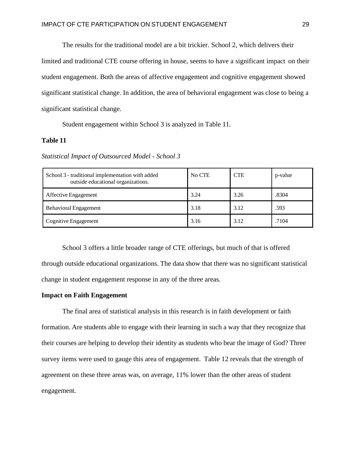The results for the traditional model are a bit trickier. School 2, which delivers their

limited and traditional CTE course offering in house, seems to have a significant impact on their student engagement. Both the areas of affective engagement and cognitive engagement showed significant statistical change. In addition, the area of behavioral engagement was close to being a significant statistical change.

Student engagement within School 3 is analyzed in Table 11.

## **Table 11**

*Statistical Impact of Outsourced Model - School 3*

| School 3 - traditional implementation with added<br>outside educational organizations. | No CTE | <b>CTE</b> | p-value |
|----------------------------------------------------------------------------------------|--------|------------|---------|
| Affective Engagement                                                                   | 3.24   | 3.26       | .8304   |
| <b>Behavioral Engagement</b>                                                           | 3.18   | 3.12       | .593    |
| Cognitive Engagement                                                                   | 3.16   | 3.12       | .7104   |

School 3 offers a little broader range of CTE offerings, but much of that is offered through outside educational organizations. The data show that there was no significant statistical change in student engagement response in any of the three areas.

#### **Impact on Faith Engagement**

The final area of statistical analysis in this research is in faith development or faith formation. Are students able to engage with their learning in such a way that they recognize that their courses are helping to develop their identity as students who bear the image of God? Three survey items were used to gauge this area of engagement. Table 12 reveals that the strength of agreement on these three areas was, on average, 11% lower than the other areas of student engagement.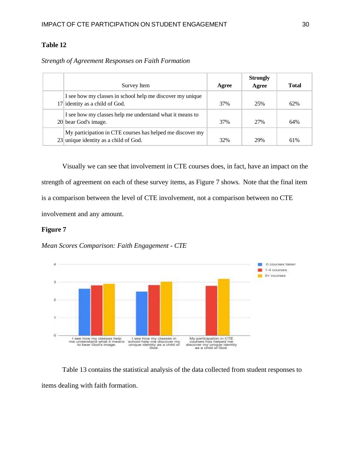## **Table 12**

## *Strength of Agreement Responses on Faith Formation*

| Survey Item                                                                                        | Agree | <b>Strongly</b><br>Agree | <b>Total</b> |
|----------------------------------------------------------------------------------------------------|-------|--------------------------|--------------|
| I see how my classes in school help me discover my unique<br>17 identity as a child of God.        | 37%   | 25%                      | 62%          |
| I see how my classes help me understand what it means to<br>20 bear God's image.                   | 37%   | 27%                      | 64%          |
| My participation in CTE courses has helped me discover my<br>23 unique identity as a child of God. | 32%   | 29%                      | 61%          |

Visually we can see that involvement in CTE courses does, in fact, have an impact on the strength of agreement on each of these survey items, as Figure 7 shows. Note that the final item is a comparison between the level of CTE involvement, not a comparison between no CTE involvement and any amount.

## **Figure 7**





Table 13 contains the statistical analysis of the data collected from student responses to items dealing with faith formation.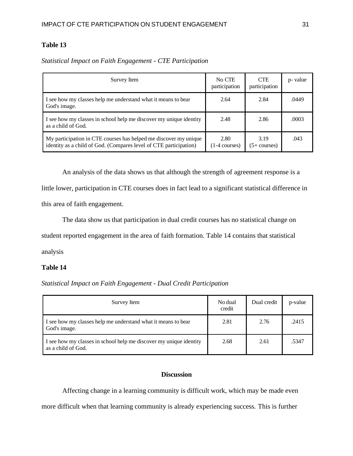## **Table 13**

| Survey Item                                                                                                                           | No CTE<br>participation         | <b>CTE</b><br>participation | p- value |
|---------------------------------------------------------------------------------------------------------------------------------------|---------------------------------|-----------------------------|----------|
| I see how my classes help me understand what it means to bear<br>God's image.                                                         | 2.64                            | 2.84                        | .0449    |
| I see how my classes in school help me discover my unique identity<br>as a child of God.                                              | 2.48                            | 2.86                        | .0003    |
| My participation in CTE courses has helped me discover my unique<br>identity as a child of God. (Compares level of CTE participation) | 2.80<br>$(1-4 \text{ courses})$ | 3.19<br>$(5+$ courses)      | .043     |

*Statistical Impact on Faith Engagement - CTE Participation*

An analysis of the data shows us that although the strength of agreement response is a little lower, participation in CTE courses does in fact lead to a significant statistical difference in this area of faith engagement.

The data show us that participation in dual credit courses has no statistical change on

student reported engagement in the area of faith formation. Table 14 contains that statistical

analysis

#### **Table 14**

*Statistical Impact on Faith Engagement - Dual Credit Participation*

| Survey Item                                                                              | No dual<br>credit | Dual credit | p-value |
|------------------------------------------------------------------------------------------|-------------------|-------------|---------|
| I see how my classes help me understand what it means to bear<br>God's image.            | 2.81              | 2.76        | .2415   |
| I see how my classes in school help me discover my unique identity<br>as a child of God. | 2.68              | 2.61        | .5347   |

## **Discussion**

Affecting change in a learning community is difficult work, which may be made even more difficult when that learning community is already experiencing success. This is further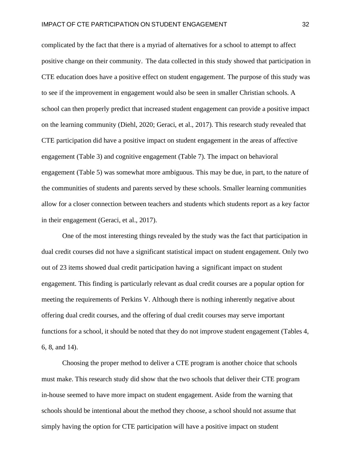complicated by the fact that there is a myriad of alternatives for a school to attempt to affect positive change on their community. The data collected in this study showed that participation in CTE education does have a positive effect on student engagement. The purpose of this study was to see if the improvement in engagement would also be seen in smaller Christian schools. A school can then properly predict that increased student engagement can provide a positive impact on the learning community (Diehl, 2020; Geraci, et al., 2017). This research study revealed that CTE participation did have a positive impact on student engagement in the areas of affective engagement (Table 3) and cognitive engagement (Table 7). The impact on behavioral engagement (Table 5) was somewhat more ambiguous. This may be due, in part, to the nature of the communities of students and parents served by these schools. Smaller learning communities allow for a closer connection between teachers and students which students report as a key factor in their engagement (Geraci, et al., 2017).

One of the most interesting things revealed by the study was the fact that participation in dual credit courses did not have a significant statistical impact on student engagement. Only two out of 23 items showed dual credit participation having a significant impact on student engagement. This finding is particularly relevant as dual credit courses are a popular option for meeting the requirements of Perkins V. Although there is nothing inherently negative about offering dual credit courses, and the offering of dual credit courses may serve important functions for a school, it should be noted that they do not improve student engagement (Tables 4, 6, 8, and 14).

Choosing the proper method to deliver a CTE program is another choice that schools must make. This research study did show that the two schools that deliver their CTE program in-house seemed to have more impact on student engagement. Aside from the warning that schools should be intentional about the method they choose, a school should not assume that simply having the option for CTE participation will have a positive impact on student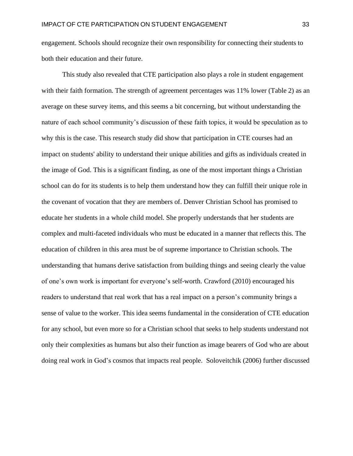engagement. Schools should recognize their own responsibility for connecting their students to both their education and their future.

This study also revealed that CTE participation also plays a role in student engagement with their faith formation. The strength of agreement percentages was  $11\%$  lower (Table 2) as an average on these survey items, and this seems a bit concerning, but without understanding the nature of each school community's discussion of these faith topics, it would be speculation as to why this is the case. This research study did show that participation in CTE courses had an impact on students' ability to understand their unique abilities and gifts as individuals created in the image of God. This is a significant finding, as one of the most important things a Christian school can do for its students is to help them understand how they can fulfill their unique role in the covenant of vocation that they are members of. Denver Christian School has promised to educate her students in a whole child model. She properly understands that her students are complex and multi-faceted individuals who must be educated in a manner that reflects this. The education of children in this area must be of supreme importance to Christian schools. The understanding that humans derive satisfaction from building things and seeing clearly the value of one's own work is important for everyone's self-worth. Crawford (2010) encouraged his readers to understand that real work that has a real impact on a person's community brings a sense of value to the worker. This idea seems fundamental in the consideration of CTE education for any school, but even more so for a Christian school that seeks to help students understand not only their complexities as humans but also their function as image bearers of God who are about doing real work in God's cosmos that impacts real people. Soloveitchik (2006) further discussed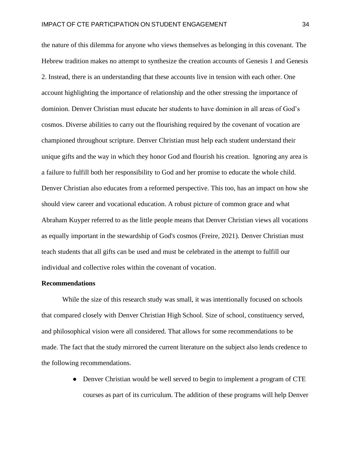the nature of this dilemma for anyone who views themselves as belonging in this covenant. The Hebrew tradition makes no attempt to synthesize the creation accounts of Genesis 1 and Genesis 2. Instead, there is an understanding that these accounts live in tension with each other. One account highlighting the importance of relationship and the other stressing the importance of dominion. Denver Christian must educate her students to have dominion in all areas of God's cosmos. Diverse abilities to carry out the flourishing required by the covenant of vocation are championed throughout scripture. Denver Christian must help each student understand their unique gifts and the way in which they honor God and flourish his creation. Ignoring any area is a failure to fulfill both her responsibility to God and her promise to educate the whole child. Denver Christian also educates from a reformed perspective. This too, has an impact on how she should view career and vocational education. A robust picture of common grace and what Abraham Kuyper referred to as the little people means that Denver Christian views all vocations as equally important in the stewardship of God's cosmos (Freire, 2021). Denver Christian must teach students that all gifts can be used and must be celebrated in the attempt to fulfill our individual and collective roles within the covenant of vocation.

#### **Recommendations**

While the size of this research study was small, it was intentionally focused on schools that compared closely with Denver Christian High School. Size of school, constituency served, and philosophical vision were all considered. That allows for some recommendations to be made. The fact that the study mirrored the current literature on the subject also lends credence to the following recommendations.

> • Denver Christian would be well served to begin to implement a program of CTE courses as part of its curriculum. The addition of these programs will help Denver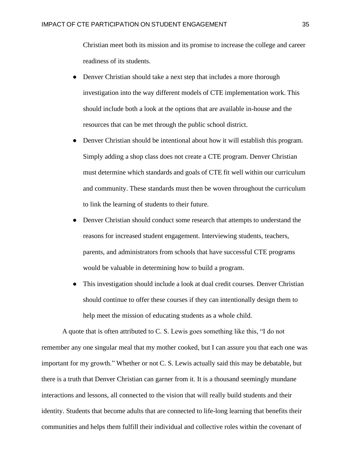Christian meet both its mission and its promise to increase the college and career readiness of its students.

- Denver Christian should take a next step that includes a more thorough investigation into the way different models of CTE implementation work. This should include both a look at the options that are available in-house and the resources that can be met through the public school district.
- Denver Christian should be intentional about how it will establish this program. Simply adding a shop class does not create a CTE program. Denver Christian must determine which standards and goals of CTE fit well within our curriculum and community. These standards must then be woven throughout the curriculum to link the learning of students to their future.
- Denver Christian should conduct some research that attempts to understand the reasons for increased student engagement. Interviewing students, teachers, parents, and administrators from schools that have successful CTE programs would be valuable in determining how to build a program.
- This investigation should include a look at dual credit courses. Denver Christian should continue to offer these courses if they can intentionally design them to help meet the mission of educating students as a whole child.

A quote that is often attributed to C. S. Lewis goes something like this, "I do not remember any one singular meal that my mother cooked, but I can assure you that each one was important for my growth." Whether or not C. S. Lewis actually said this may be debatable, but there is a truth that Denver Christian can garner from it. It is a thousand seemingly mundane interactions and lessons, all connected to the vision that will really build students and their identity. Students that become adults that are connected to life-long learning that benefits their communities and helps them fulfill their individual and collective roles within the covenant of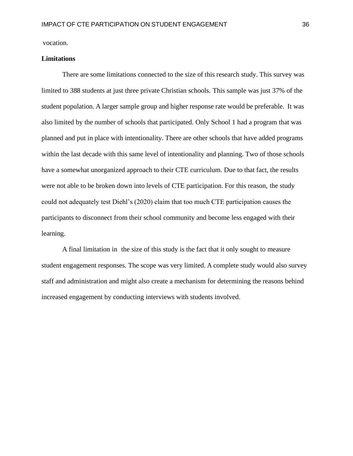vocation.

#### **Limitations**

There are some limitations connected to the size of this research study. This survey was limited to 388 students at just three private Christian schools. This sample was just 37% of the student population. A larger sample group and higher response rate would be preferable. It was also limited by the number of schools that participated. Only School 1 had a program that was planned and put in place with intentionality. There are other schools that have added programs within the last decade with this same level of intentionality and planning. Two of those schools have a somewhat unorganized approach to their CTE curriculum. Due to that fact, the results were not able to be broken down into levels of CTE participation. For this reason, the study could not adequately test Diehl's (2020) claim that too much CTE participation causes the participants to disconnect from their school community and become less engaged with their learning.

A final limitation in the size of this study is the fact that it only sought to measure student engagement responses. The scope was very limited. A complete study would also survey staff and administration and might also create a mechanism for determining the reasons behind increased engagement by conducting interviews with students involved.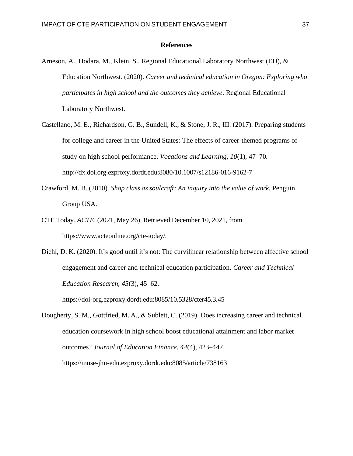#### **References**

- <span id="page-38-0"></span>Arneson, A., Hodara, M., Klein, S., Regional Educational Laboratory Northwest (ED), & Education Northwest. (2020). *Career and technical education in Oregon: Exploring who participates in high school and the outcomes they achieve*. Regional Educational Laboratory Northwest.
- Castellano, M. E., Richardson, G. B., Sundell, K., & Stone, J. R., III. (2017). Preparing students for college and career in the United States: The effects of career-themed programs of study on high school performance. *Vocations and Learning, 10*(1), 47–70. http://dx.doi.org.ezproxy.dordt.edu:8080/10.1007/s12186-016-9162-7
- Crawford, M. B. (2010). *Shop class as soulcraft: An inquiry into the value of work.* Penguin Group USA.
- CTE Today. *ACTE*. (2021, May 26). Retrieved December 10, 2021, from [https://www.acteonline.org/cte-today/.](http://www.acteonline.org/cte-today/)
- Diehl, D. K. (2020). It's good until it's not: The curvilinear relationship between affective school engagement and career and technical education participation. *Career and Technical Education Research, 45*(3), 45–62. https://doi-org.ezproxy.dordt.edu:8085/10.5328/cter45.3.45
- Dougherty, S. M., Gottfried, M. A., & Sublett, C. (2019). Does increasing career and technical education coursework in high school boost educational attainment and labor market outcomes? *Journal of Education Finance*, *44*(4), 423–447. https://muse-jhu-edu.ezproxy.dordt.edu:8085/article/738163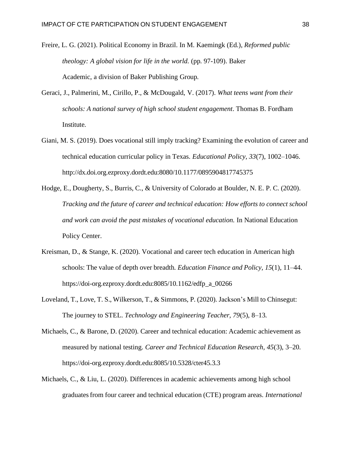- Freire, L. G. (2021). Political Economy in Brazil. In M. Kaemingk (Ed.), *Reformed public theology: A global vision for life in the world.* (pp. 97-109). Baker Academic, a division of Baker Publishing Group.
- Geraci, J., Palmerini, M., Cirillo, P., & McDougald, V. (2017). *What teens want from their schools: A national survey of high school student engagement*. Thomas B. Fordham Institute.
- Giani, M. S. (2019). Does vocational still imply tracking? Examining the evolution of career and technical education curricular policy in Texas. *Educational Policy, 33*(7), 1002–1046. http://dx.doi.org.ezproxy.dordt.edu:8080/10.1177/0895904817745375
- Hodge, E., Dougherty, S., Burris, C., & University of Colorado at Boulder, N. E. P. C. (2020). *Tracking and the future of career and technical education: How efforts to connect school and work can avoid the past mistakes of vocational education.* In National Education Policy Center.
- Kreisman, D., & Stange, K. (2020). Vocational and career tech education in American high schools: The value of depth over breadth. *Education Finance and Policy, 15*(1), 11–44. https://doi-org.ezproxy.dordt.edu:8085/10.1162/edfp\_a\_00266
- Loveland, T., Love, T. S., Wilkerson, T., & Simmons, P. (2020). Jackson's Mill to Chinsegut: The journey to STEL. *Technology and Engineering Teacher, 79*(5), 8–13.
- Michaels, C., & Barone, D. (2020). Career and technical education: Academic achievement as measured by national testing. *Career and Technical Education Research, 45*(3), 3–20. https://doi-org.ezproxy.dordt.edu:8085/10.5328/cter45.3.3
- Michaels, C., & Liu, L. (2020). Differences in academic achievements among high school graduatesfrom four career and technical education (CTE) program areas. *International*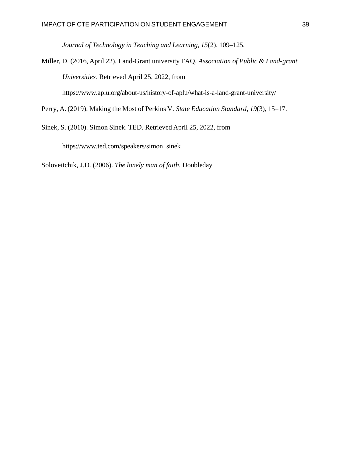*Journal of Technology in Teaching and Learning, 15*(2), 109–125.

Miller, D. (2016, April 22). Land-Grant university FAQ. *Association of Public & Land-grant Universities.* Retrieved April 25, 2022, from

[https://www.](http://www.aplu.org/about-us/history-of-aplu/what-is-a-land-grant-university/)aplu.o[rg/about-us/history-of-aplu/what-is-a-land-grant-university/](http://www.aplu.org/about-us/history-of-aplu/what-is-a-land-grant-university/)

Perry, A. (2019). Making the Most of Perkins V. *State Education Standard, 19*(3), 15–17.

Sinek, S. (2010). Simon Sinek. TED. Retrieved April 25, 2022, from

[https://www.ted.com/speakers/simon\\_sinek](http://www.ted.com/speakers/simon_sinek)

Soloveitchik, J.D. (2006). *The lonely man of faith*. Doubleday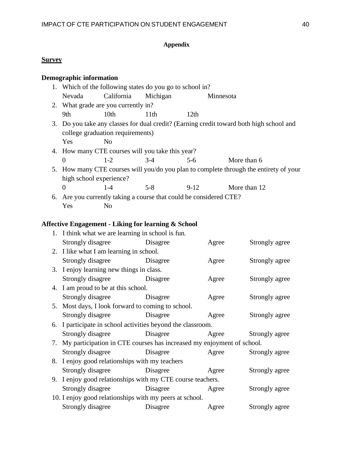# **Appendix**

# **Survey**

# **Demographic information**

| 1. Which of the following states do you go to school in?                              |                                     |                                                  |        |                                                                                         |  |
|---------------------------------------------------------------------------------------|-------------------------------------|--------------------------------------------------|--------|-----------------------------------------------------------------------------------------|--|
| Nevada                                                                                | California                          | Michigan                                         |        | Minnesota                                                                               |  |
|                                                                                       | 2. What grade are you currently in? |                                                  |        |                                                                                         |  |
| 9th                                                                                   | 10 <sub>th</sub>                    | 11 <sup>th</sup>                                 | 12th   |                                                                                         |  |
|                                                                                       |                                     |                                                  |        | 3. Do you take any classes for dual credit? (Earning credit toward both high school and |  |
|                                                                                       | college graduation requirements)    |                                                  |        |                                                                                         |  |
| Yes                                                                                   | N <sub>0</sub>                      |                                                  |        |                                                                                         |  |
|                                                                                       |                                     | 4. How many CTE courses will you take this year? |        |                                                                                         |  |
| $\Omega$                                                                              | $1 - 2$                             | $3-4$                                            | $5-6$  | More than 6                                                                             |  |
| 5. How many CTE courses will you/do you plan to complete through the entirety of your |                                     |                                                  |        |                                                                                         |  |
| high school experience?                                                               |                                     |                                                  |        |                                                                                         |  |
| $\Omega$                                                                              | $1 - 4$                             | $5-8$                                            | $9-12$ | More than 12                                                                            |  |
| 6. Are you currently taking a course that could be considered CTE?                    |                                     |                                                  |        |                                                                                         |  |

Yes No

# **Affective Engagement - Liking for learning & School**

| 1. I think what we are learning in school is fun.                        |          |       |                |  |
|--------------------------------------------------------------------------|----------|-------|----------------|--|
| Strongly disagree                                                        | Disagree | Agree | Strongly agree |  |
| 2. I like what I am learning in school.                                  |          |       |                |  |
| Strongly disagree Disagree                                               |          | Agree | Strongly agree |  |
| 3. I enjoy learning new things in class.                                 |          |       |                |  |
| Strongly disagree Disagree                                               |          | Agree | Strongly agree |  |
| 4. I am proud to be at this school.                                      |          |       |                |  |
| Strongly disagree Disagree                                               |          | Agree | Strongly agree |  |
| 5. Most days, I look forward to coming to school.                        |          |       |                |  |
| Strongly disagree Disagree                                               |          | Agree | Strongly agree |  |
| 6. I participate in school activities beyond the classroom.              |          |       |                |  |
| Strongly disagree Disagree                                               |          | Agree | Strongly agree |  |
| 7. My participation in CTE courses has increased my enjoyment of school. |          |       |                |  |
| Strongly disagree Disagree                                               |          | Agree | Strongly agree |  |
| 8. I enjoy good relationships with my teachers                           |          |       |                |  |
| Strongly disagree Disagree                                               |          | Agree | Strongly agree |  |
| 9. I enjoy good relationships with my CTE course teachers.               |          |       |                |  |
| Strongly disagree Disagree                                               |          | Agree | Strongly agree |  |
| 10. I enjoy good relationships with my peers at school.                  |          |       |                |  |
| Strongly disagree<br>Disagree                                            |          | Agree | Strongly agree |  |